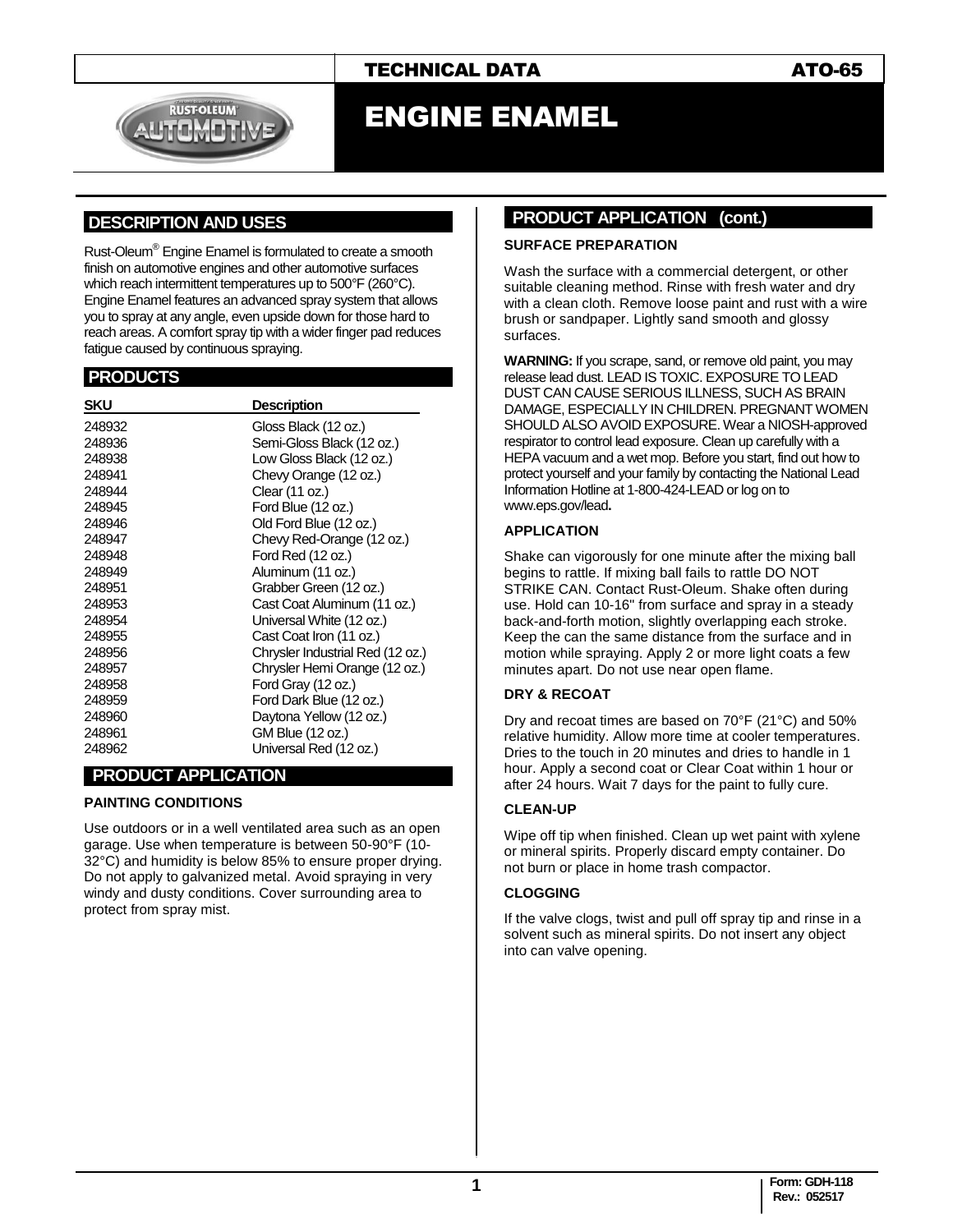



# ENGINE ENAMEL

### **.DESCRIPTION AND USES .**

Rust-Oleum® Engine Enamel is formulated to create a smooth finish on automotive engines and other automotive surfaces which reach intermittent temperatures up to 500°F (260°C). Engine Enamel features an advanced spray system that allows you to spray at any angle, even upside down for those hard to reach areas. A comfort spray tip with a wider finger pad reduces fatigue caused by continuous spraying.

#### **.PRODUCTS .**

| <b>SKU</b> | <b>Description</b>               |
|------------|----------------------------------|
| 248932     | Gloss Black (12 oz.)             |
| 248936     | Semi-Gloss Black (12 oz.)        |
| 248938     | Low Gloss Black (12 oz.)         |
| 248941     | Chevy Orange (12 oz.)            |
| 248944     | Clear (11 oz.)                   |
| 248945     | Ford Blue (12 oz.)               |
| 248946     | Old Ford Blue (12 oz.)           |
| 248947     | Chevy Red-Orange (12 oz.)        |
| 248948     | Ford Red (12 oz.)                |
| 248949     | Aluminum (11 oz.)                |
| 248951     | Grabber Green (12 oz.)           |
| 248953     | Cast Coat Aluminum (11 oz.)      |
| 248954     | Universal White (12 oz.)         |
| 248955     | Cast Coat Iron (11 oz.)          |
| 248956     | Chrysler Industrial Red (12 oz.) |
| 248957     | Chrysler Hemi Orange (12 oz.)    |
| 248958     | Ford Gray (12 oz.)               |
| 248959     | Ford Dark Blue (12 oz.)          |
| 248960     | Daytona Yellow (12 oz.)          |
| 248961     | GM Blue (12 oz.)                 |
| 248962     | Universal Red (12 oz.)           |

#### **PRODUCT APPLICATION**

#### **PAINTING CONDITIONS**

Use outdoors or in a well ventilated area such as an open garage. Use when temperature is between 50-90°F (10- 32°C) and humidity is below 85% to ensure proper drying. Do not apply to galvanized metal. Avoid spraying in very windy and dusty conditions. Cover surrounding area to protect from spray mist.

#### **PRODUCT APPLICATION (cont.)**

#### **SURFACE PREPARATION**

Wash the surface with a commercial detergent, or other suitable cleaning method. Rinse with fresh water and dry with a clean cloth. Remove loose paint and rust with a wire brush or sandpaper. Lightly sand smooth and glossy surfaces.

**WARNING:** If you scrape, sand, or remove old paint, you may release lead dust. LEAD IS TOXIC. EXPOSURE TO LEAD DUST CAN CAUSE SERIOUS ILLNESS, SUCH AS BRAIN DAMAGE, ESPECIALLY IN CHILDREN. PREGNANT WOMEN SHOULD ALSO AVOID EXPOSURE. Wear a NIOSH-approved respirator to control lead exposure. Clean up carefully with a HEPA vacuum and a wet mop. Before you start, find out how to protect yourself and your family by contacting the National Lead Information Hotline at 1-800-424-LEAD or log on to [www.eps.gov/lead](http://www.eps.gov/lead)**.**

#### **APPLICATION**

Shake can vigorously for one minute after the mixing ball begins to rattle. If mixing ball fails to rattle DO NOT STRIKE CAN. Contact Rust-Oleum. Shake often during use. Hold can 10-16" from surface and spray in a steady back-and-forth motion, slightly overlapping each stroke. Keep the can the same distance from the surface and in motion while spraying. Apply 2 or more light coats a few minutes apart. Do not use near open flame.

#### **DRY & RECOAT**

Dry and recoat times are based on 70°F (21°C) and 50% relative humidity. Allow more time at cooler temperatures. Dries to the touch in 20 minutes and dries to handle in 1 hour. Apply a second coat or Clear Coat within 1 hour or after 24 hours. Wait 7 days for the paint to fully cure.

#### **CLEAN-UP**

Wipe off tip when finished. Clean up wet paint with xylene or mineral spirits. Properly discard empty container. Do not burn or place in home trash compactor.

#### **CLOGGING**

If the valve clogs, twist and pull off spray tip and rinse in a solvent such as mineral spirits. Do not insert any object into can valve opening.